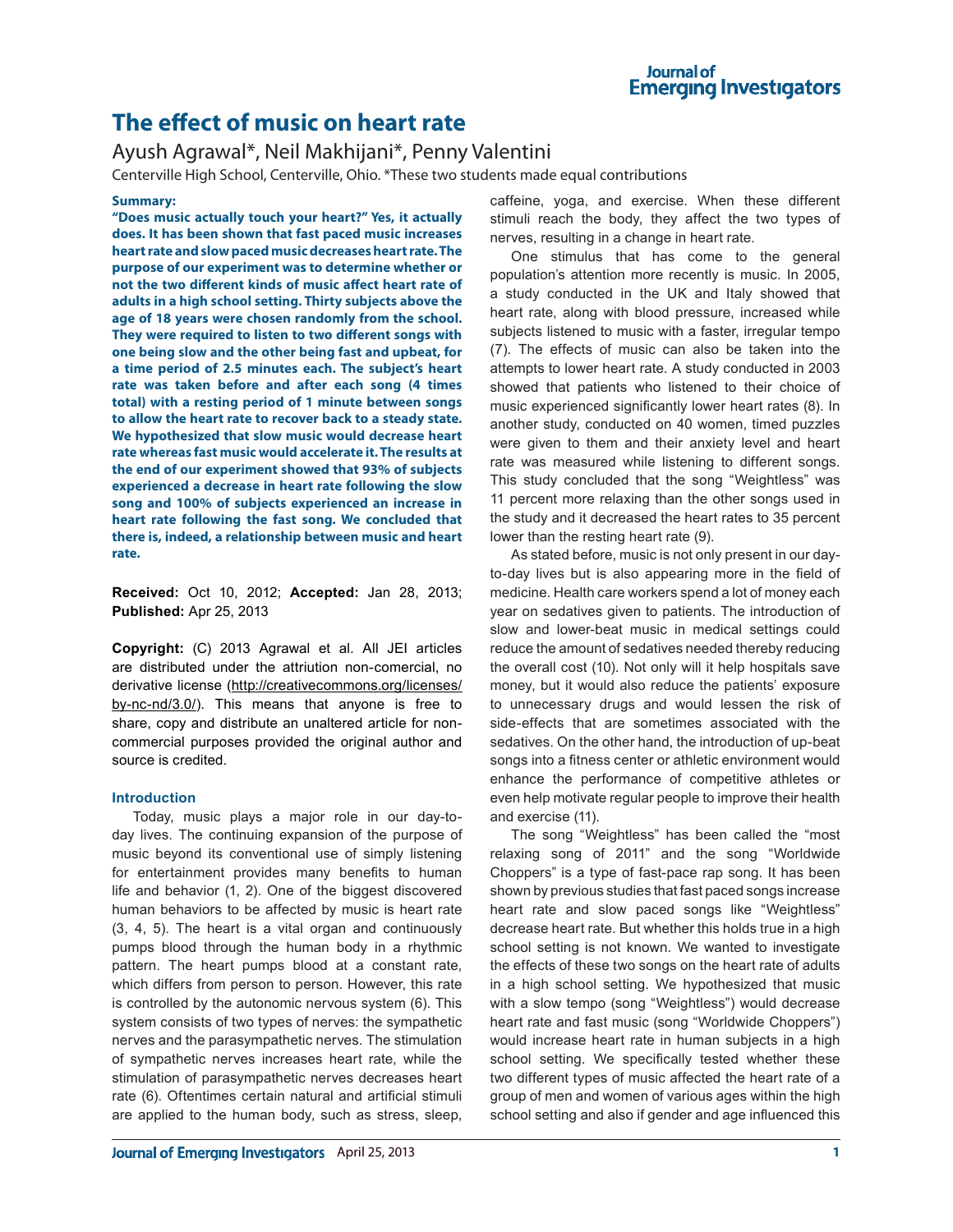# **The effect of music on heart rate**

# Ayush Agrawal\*, Neil Makhijani\*, Penny Valentini

Centerville High School, Centerville, Ohio. \*These two students made equal contributions

#### **Summary:**

**"Does music actually touch your heart?" Yes, it actually does. It has been shown that fast paced music increases heart rate and slow paced music decreases heart rate. The purpose of our experiment was to determine whether or not the two different kinds of music affect heart rate of adults in a high school setting. Thirty subjects above the age of 18 years were chosen randomly from the school. They were required to listen to two different songs with one being slow and the other being fast and upbeat, for a time period of 2.5 minutes each. The subject's heart rate was taken before and after each song (4 times total) with a resting period of 1 minute between songs to allow the heart rate to recover back to a steady state. We hypothesized that slow music would decrease heart rate whereas fast music would accelerate it. The results at the end of our experiment showed that 93% of subjects experienced a decrease in heart rate following the slow song and 100% of subjects experienced an increase in heart rate following the fast song. We concluded that there is, indeed, a relationship between music and heart rate.** 

**Received:** Oct 10, 2012; **Accepted:** Jan 28, 2013; **Published:** Apr 25, 2013

**Copyright:** (C) 2013 Agrawal et al. All JEI articles are distributed under the attriution non-comercial, no derivative license (http://creativecommons.org/licenses/ by-nc-nd/3.0/). This means that anyone is free to share, copy and distribute an unaltered article for noncommercial purposes provided the original author and source is credited.

#### **Introduction**

Today, music plays a major role in our day-today lives. The continuing expansion of the purpose of music beyond its conventional use of simply listening for entertainment provides many benefits to human life and behavior (1, 2). One of the biggest discovered human behaviors to be affected by music is heart rate (3, 4, 5). The heart is a vital organ and continuously pumps blood through the human body in a rhythmic pattern. The heart pumps blood at a constant rate, which differs from person to person. However, this rate is controlled by the autonomic nervous system (6). This system consists of two types of nerves: the sympathetic nerves and the parasympathetic nerves. The stimulation of sympathetic nerves increases heart rate, while the stimulation of parasympathetic nerves decreases heart rate (6). Oftentimes certain natural and artificial stimuli are applied to the human body, such as stress, sleep,

caffeine, yoga, and exercise. When these different stimuli reach the body, they affect the two types of nerves, resulting in a change in heart rate.

One stimulus that has come to the general population's attention more recently is music. In 2005, a study conducted in the UK and Italy showed that heart rate, along with blood pressure, increased while subjects listened to music with a faster, irregular tempo (7). The effects of music can also be taken into the attempts to lower heart rate. A study conducted in 2003 showed that patients who listened to their choice of music experienced significantly lower heart rates (8). In another study, conducted on 40 women, timed puzzles were given to them and their anxiety level and heart rate was measured while listening to different songs. This study concluded that the song "Weightless" was 11 percent more relaxing than the other songs used in the study and it decreased the heart rates to 35 percent lower than the resting heart rate (9).

As stated before, music is not only present in our dayto-day lives but is also appearing more in the field of medicine. Health care workers spend a lot of money each year on sedatives given to patients. The introduction of slow and lower-beat music in medical settings could reduce the amount of sedatives needed thereby reducing the overall cost (10). Not only will it help hospitals save money, but it would also reduce the patients' exposure to unnecessary drugs and would lessen the risk of side-effects that are sometimes associated with the sedatives. On the other hand, the introduction of up-beat songs into a fitness center or athletic environment would enhance the performance of competitive athletes or even help motivate regular people to improve their health and exercise (11).

The song "Weightless" has been called the "most relaxing song of 2011" and the song "Worldwide Choppers" is a type of fast-pace rap song. It has been shown by previous studies that fast paced songs increase heart rate and slow paced songs like "Weightless" decrease heart rate. But whether this holds true in a high school setting is not known. We wanted to investigate the effects of these two songs on the heart rate of adults in a high school setting. We hypothesized that music with a slow tempo (song "Weightless") would decrease heart rate and fast music (song "Worldwide Choppers") would increase heart rate in human subjects in a high school setting. We specifically tested whether these two different types of music affected the heart rate of a group of men and women of various ages within the high school setting and also if gender and age influenced this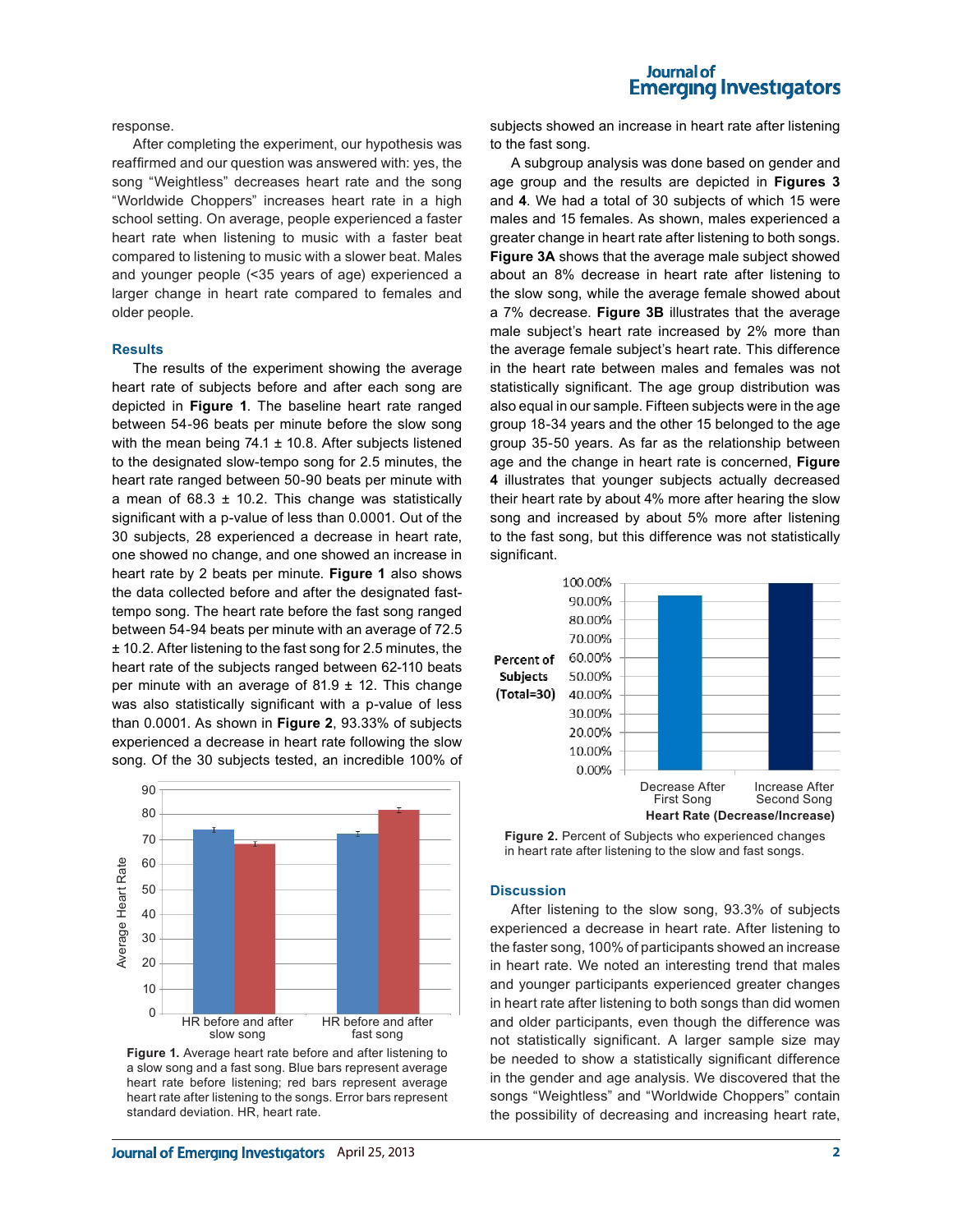#### **Journal of Emerging Investigators**

response.

After completing the experiment, our hypothesis was reaffirmed and our question was answered with: yes, the song "Weightless" decreases heart rate and the song "Worldwide Choppers" increases heart rate in a high school setting. On average, people experienced a faster heart rate when listening to music with a faster beat compared to listening to music with a slower beat. Males and younger people (<35 years of age) experienced a larger change in heart rate compared to females and older people.

#### **Results**

The results of the experiment showing the average heart rate of subjects before and after each song are depicted in **Figure 1**. The baseline heart rate ranged between 54-96 beats per minute before the slow song with the mean being  $74.1 \pm 10.8$ . After subjects listened to the designated slow-tempo song for 2.5 minutes, the heart rate ranged between 50-90 beats per minute with a mean of  $68.3 \pm 10.2$ . This change was statistically significant with a p-value of less than 0.0001. Out of the 30 subjects, 28 experienced a decrease in heart rate, one showed no change, and one showed an increase in heart rate by 2 beats per minute. **Figure 1** also shows the data collected before and after the designated fasttempo song. The heart rate before the fast song ranged between 54-94 beats per minute with an average of 72.5 ± 10.2. After listening to the fast song for 2.5 minutes, the heart rate of the subjects ranged between 62-110 beats per minute with an average of  $81.9 \pm 12$ . This change was also statistically significant with a p-value of less than 0.0001. As shown in **Figure 2**, 93.33% of subjects experienced a decrease in heart rate following the slow song. Of the 30 subjects tested, an incredible 100% of



**Figure 1.** Average heart rate before and after listening to a slow song and a fast song. Blue bars represent average heart rate before listening; red bars represent average heart rate after listening to the songs. Error bars represent standard deviation. HR, heart rate.

subjects showed an increase in heart rate after listening to the fast song.

A subgroup analysis was done based on gender and age group and the results are depicted in **Figures 3** and **4**. We had a total of 30 subjects of which 15 were males and 15 females. As shown, males experienced a greater change in heart rate after listening to both songs. **Figure 3A** shows that the average male subject showed about an 8% decrease in heart rate after listening to the slow song, while the average female showed about a 7% decrease. **Figure 3B** illustrates that the average male subject's heart rate increased by 2% more than the average female subject's heart rate. This difference in the heart rate between males and females was not statistically significant. The age group distribution was also equal in our sample. Fifteen subjects were in the age group 18-34 years and the other 15 belonged to the age group 35-50 years. As far as the relationship between age and the change in heart rate is concerned, **Figure 4** illustrates that younger subjects actually decreased their heart rate by about 4% more after hearing the slow song and increased by about 5% more after listening to the fast song, but this difference was not statistically significant.



**Figure 2.** Percent of Subjects who experienced changes in heart rate after listening to the slow and fast songs.

#### **Discussion**

After listening to the slow song, 93.3% of subjects experienced a decrease in heart rate. After listening to the faster song, 100% of participants showed an increase in heart rate. We noted an interesting trend that males and younger participants experienced greater changes in heart rate after listening to both songs than did women and older participants, even though the difference was not statistically significant. A larger sample size may be needed to show a statistically significant difference in the gender and age analysis. We discovered that the songs "Weightless" and "Worldwide Choppers" contain the possibility of decreasing and increasing heart rate,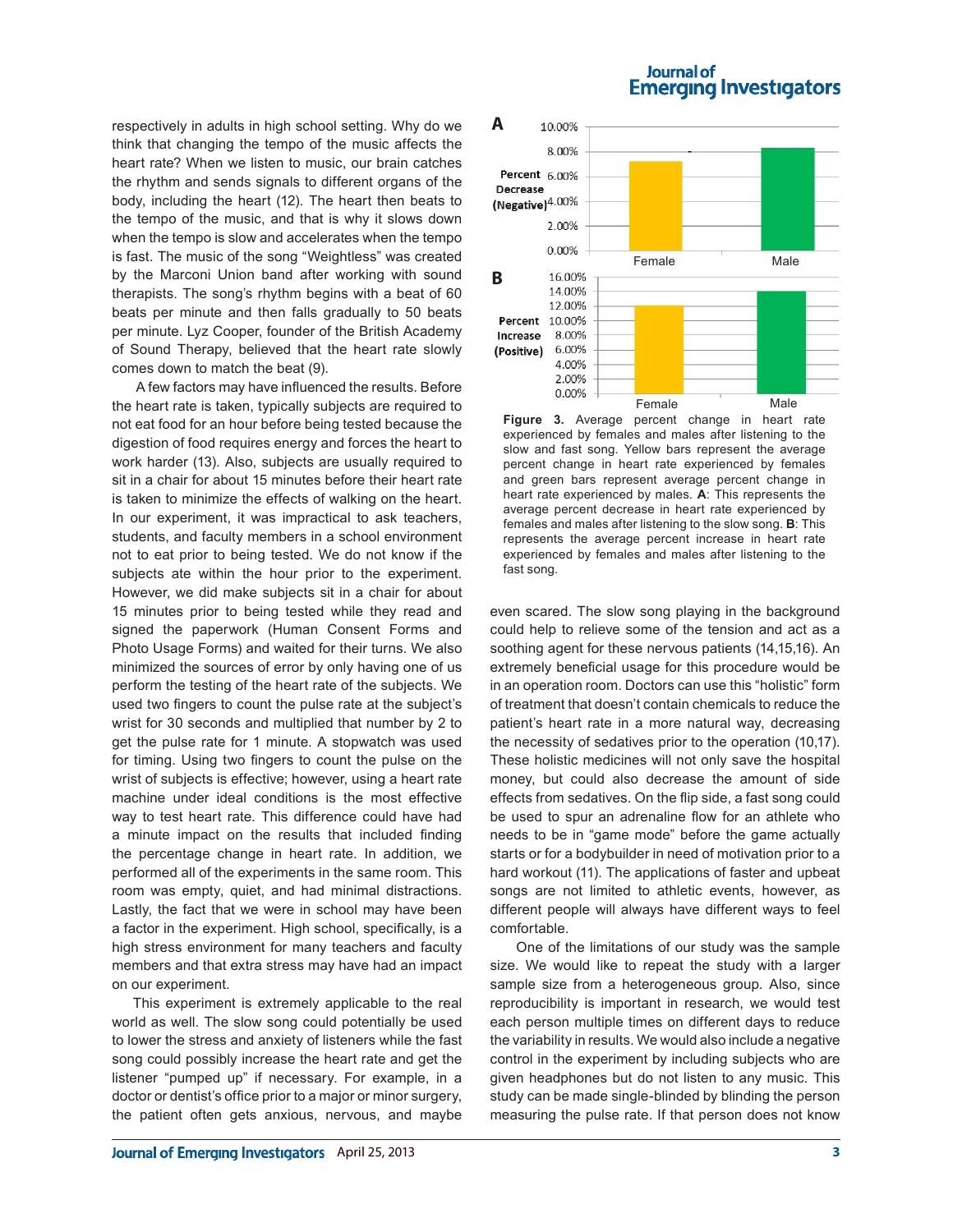**Emerging Investigators A** respectively in adults in high school setting. Why do we 10.00% 8.00%

think that changing the tempo of the music affects the heart rate? When we listen to music, our brain catches the rhythm and sends signals to different organs of the body, including the heart (12). The heart then beats to the tempo of the music, and that is why it slows down when the tempo is slow and accelerates when the tempo is fast. The music of the song "Weightless" was created by the Marconi Union band after working with sound therapists. The song's rhythm begins with a beat of 60 beats per minute and then falls gradually to 50 beats per minute. Lyz Cooper, founder of the British Academy of Sound Therapy, believed that the heart rate slowly comes down to match the beat (9).

 A few factors may have influenced the results. Before the heart rate is taken, typically subjects are required to not eat food for an hour before being tested because the digestion of food requires energy and forces the heart to work harder (13). Also, subjects are usually required to sit in a chair for about 15 minutes before their heart rate is taken to minimize the effects of walking on the heart. In our experiment, it was impractical to ask teachers, students, and faculty members in a school environment not to eat prior to being tested. We do not know if the subjects ate within the hour prior to the experiment. However, we did make subjects sit in a chair for about 15 minutes prior to being tested while they read and signed the paperwork (Human Consent Forms and Photo Usage Forms) and waited for their turns. We also minimized the sources of error by only having one of us perform the testing of the heart rate of the subjects. We used two fingers to count the pulse rate at the subject's wrist for 30 seconds and multiplied that number by 2 to get the pulse rate for 1 minute. A stopwatch was used for timing. Using two fingers to count the pulse on the wrist of subjects is effective; however, using a heart rate machine under ideal conditions is the most effective way to test heart rate. This difference could have had a minute impact on the results that included finding the percentage change in heart rate. In addition, we performed all of the experiments in the same room. This room was empty, quiet, and had minimal distractions. Lastly, the fact that we were in school may have been a factor in the experiment. High school, specifically, is a high stress environment for many teachers and faculty members and that extra stress may have had an impact on our experiment.

This experiment is extremely applicable to the real world as well. The slow song could potentially be used to lower the stress and anxiety of listeners while the fast song could possibly increase the heart rate and get the listener "pumped up" if necessary. For example, in a doctor or dentist's office prior to a major or minor surgery, the patient often gets anxious, nervous, and maybe



Journal of

**Figure 3.** Average percent change in heart rate experienced by females and males after listening to the slow and fast song. Yellow bars represent the average percent change in heart rate experienced by females and green bars represent average percent change in heart rate experienced by males. **A**: This represents the average percent decrease in heart rate experienced by females and males after listening to the slow song. **B**: This represents the average percent increase in heart rate experienced by females and males after listening to the fast song.

even scared. The slow song playing in the background could help to relieve some of the tension and act as a soothing agent for these nervous patients (14,15,16). An extremely beneficial usage for this procedure would be in an operation room. Doctors can use this "holistic" form of treatment that doesn't contain chemicals to reduce the patient's heart rate in a more natural way, decreasing the necessity of sedatives prior to the operation (10,17). These holistic medicines will not only save the hospital money, but could also decrease the amount of side effects from sedatives. On the flip side, a fast song could be used to spur an adrenaline flow for an athlete who needs to be in "game mode" before the game actually starts or for a bodybuilder in need of motivation prior to a hard workout (11). The applications of faster and upbeat songs are not limited to athletic events, however, as different people will always have different ways to feel comfortable.

 One of the limitations of our study was the sample size. We would like to repeat the study with a larger sample size from a heterogeneous group. Also, since reproducibility is important in research, we would test each person multiple times on different days to reduce the variability in results. We would also include a negative control in the experiment by including subjects who are given headphones but do not listen to any music. This study can be made single-blinded by blinding the person measuring the pulse rate. If that person does not know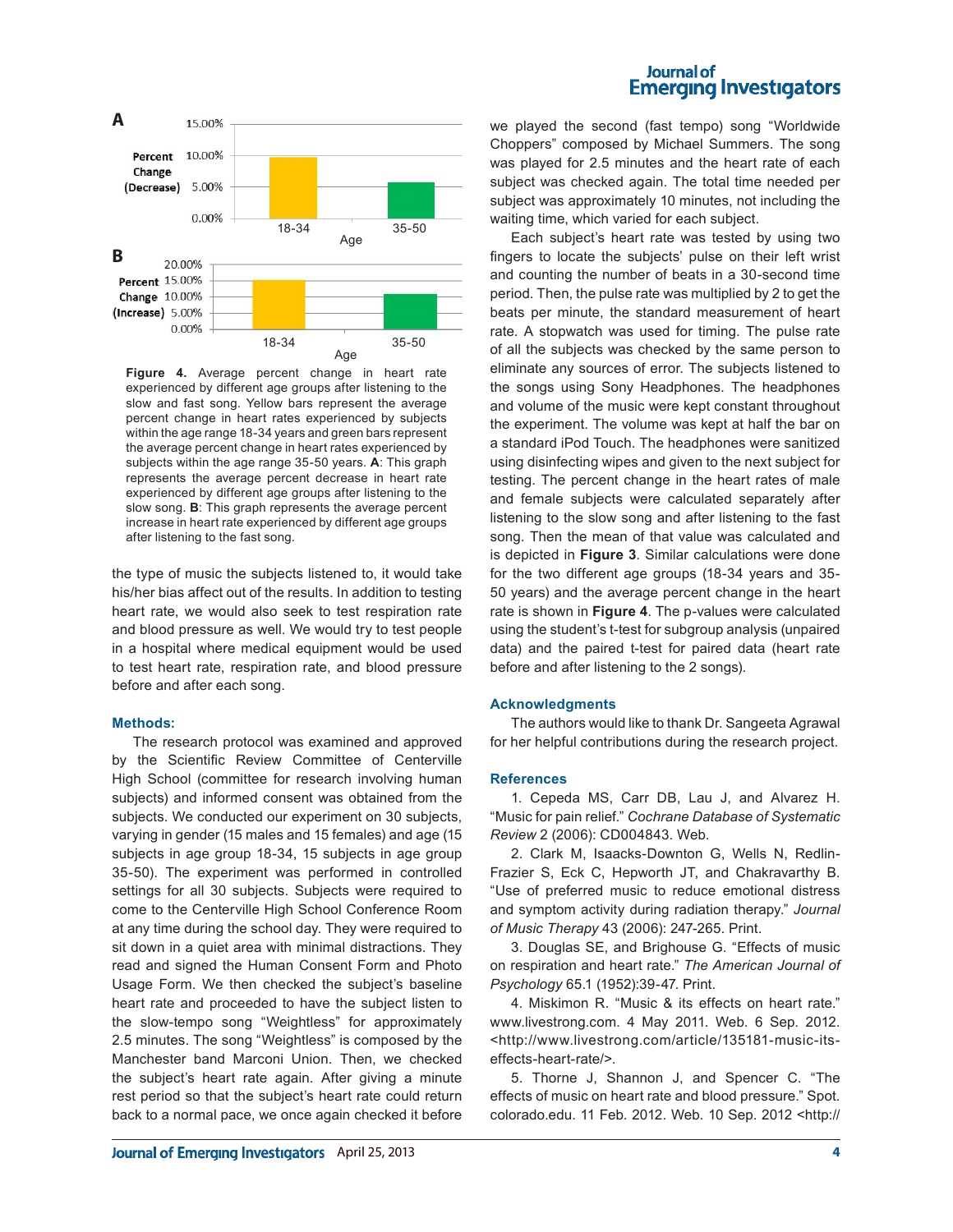

**Figure 4.** Average percent change in heart rate experienced by different age groups after listening to the slow and fast song. Yellow bars represent the average percent change in heart rates experienced by subjects within the age range 18-34 years and green bars represent the average percent change in heart rates experienced by subjects within the age range 35-50 years. **A**: This graph represents the average percent decrease in heart rate experienced by different age groups after listening to the slow song. **B**: This graph represents the average percent increase in heart rate experienced by different age groups after listening to the fast song.

the type of music the subjects listened to, it would take his/her bias affect out of the results. In addition to testing heart rate, we would also seek to test respiration rate and blood pressure as well. We would try to test people in a hospital where medical equipment would be used to test heart rate, respiration rate, and blood pressure before and after each song.

#### **Methods:**

The research protocol was examined and approved by the Scientific Review Committee of Centerville High School (committee for research involving human subjects) and informed consent was obtained from the subjects. We conducted our experiment on 30 subjects, varying in gender (15 males and 15 females) and age (15 subjects in age group 18-34, 15 subjects in age group 35-50). The experiment was performed in controlled settings for all 30 subjects. Subjects were required to come to the Centerville High School Conference Room at any time during the school day. They were required to sit down in a quiet area with minimal distractions. They read and signed the Human Consent Form and Photo Usage Form. We then checked the subject's baseline heart rate and proceeded to have the subject listen to the slow-tempo song "Weightless" for approximately 2.5 minutes. The song "Weightless" is composed by the Manchester band Marconi Union. Then, we checked the subject's heart rate again. After giving a minute rest period so that the subject's heart rate could return back to a normal pace, we once again checked it before

### Journal of **Emerging Investigators**

we played the second (fast tempo) song "Worldwide Choppers" composed by Michael Summers. The song was played for 2.5 minutes and the heart rate of each subject was checked again. The total time needed per subject was approximately 10 minutes, not including the waiting time, which varied for each subject.

Each subject's heart rate was tested by using two fingers to locate the subjects' pulse on their left wrist and counting the number of beats in a 30-second time period. Then, the pulse rate was multiplied by 2 to get the beats per minute, the standard measurement of heart rate. A stopwatch was used for timing. The pulse rate of all the subjects was checked by the same person to eliminate any sources of error. The subjects listened to the songs using Sony Headphones. The headphones and volume of the music were kept constant throughout the experiment. The volume was kept at half the bar on a standard iPod Touch. The headphones were sanitized using disinfecting wipes and given to the next subject for testing. The percent change in the heart rates of male and female subjects were calculated separately after listening to the slow song and after listening to the fast song. Then the mean of that value was calculated and is depicted in **Figure 3**. Similar calculations were done for the two different age groups (18-34 years and 35- 50 years) and the average percent change in the heart rate is shown in **Figure 4**. The p-values were calculated using the student's t-test for subgroup analysis (unpaired data) and the paired t-test for paired data (heart rate before and after listening to the 2 songs).

#### **Acknowledgments**

The authors would like to thank Dr. Sangeeta Agrawal for her helpful contributions during the research project.

#### **References**

1. Cepeda MS, Carr DB, Lau J, and Alvarez H. "Music for pain relief." *Cochrane Database of Systematic Review* 2 (2006): CD004843. Web.

2. Clark M, Isaacks-Downton G, Wells N, Redlin-Frazier S, Eck C, Hepworth JT, and Chakravarthy B. "Use of preferred music to reduce emotional distress and symptom activity during radiation therapy." *Journal of Music Therapy* 43 (2006): 247-265. Print.

3. Douglas SE, and Brighouse G. "Effects of music on respiration and heart rate." *The American Journal of Psychology* 65.1 (1952):39-47. Print.

4. Miskimon R. "Music & its effects on heart rate." www.livestrong.com. 4 May 2011. Web. 6 Sep. 2012. <http://www.livestrong.com/article/135181-music-itseffects-heart-rate/>.

5. Thorne J, Shannon J, and Spencer C. "The effects of music on heart rate and blood pressure." Spot. colorado.edu. 11 Feb. 2012. Web. 10 Sep. 2012 <http://